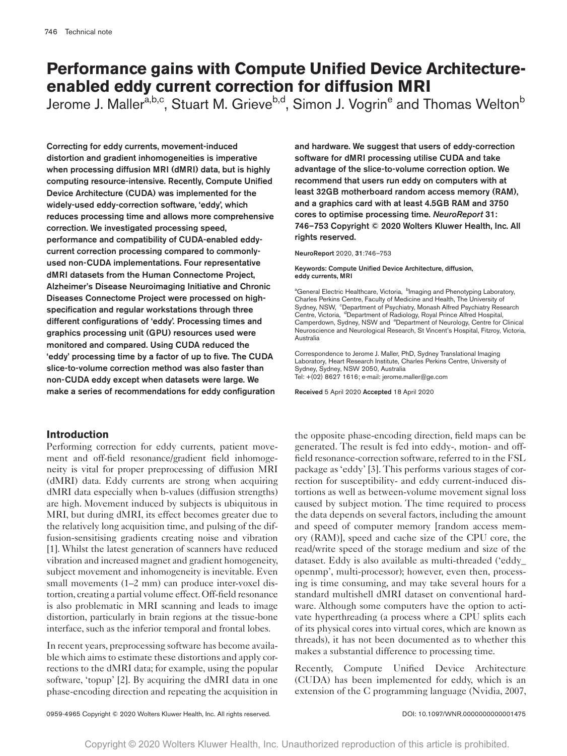# **Performance gains with Compute Unified Device Architectureenabled eddy current correction for diffusion MRI**

Jerome J. Maller<sup>[a,b,c](#page-0-0)</sup>, Stuart M. Grieve<sup>b,d</sup>, Simon J. Vogrin<sup>e</sup> and Thomas Welton<sup>b</sup>

Correcting for eddy currents, movement-induced distortion and gradient inhomogeneities is imperative when processing diffusion MRI (dMRI) data, but is highly computing resource-intensive. Recently, Compute Unified Device Architecture (CUDA) was implemented for the widely-used eddy-correction software, 'eddy', which reduces processing time and allows more comprehensive correction. We investigated processing speed, performance and compatibility of CUDA-enabled eddycurrent correction processing compared to commonlyused non-CUDA implementations. Four representative dMRI datasets from the Human Connectome Project, Alzheimer's Disease Neuroimaging Initiative and Chronic Diseases Connectome Project were processed on highspecification and regular workstations through three different configurations of 'eddy'. Processing times and graphics processing unit (GPU) resources used were monitored and compared. Using CUDA reduced the 'eddy' processing time by a factor of up to five. The CUDA slice-to-volume correction method was also faster than non-CUDA eddy except when datasets were large. We make a series of recommendations for eddy configuration

# **Introduction**

Performing correction for eddy currents, patient movement and off-field resonance/gradient field inhomogeneity is vital for proper preprocessing of diffusion MRI (dMRI) data. Eddy currents are strong when acquiring dMRI data especially when b-values (diffusion strengths) are high. Movement induced by subjects is ubiquitous in MRI, but during dMRI, its effect becomes greater due to the relatively long acquisition time, and pulsing of the diffusion-sensitising gradients creating noise and vibration [[1](#page-6-0)]. Whilst the latest generation of scanners have reduced vibration and increased magnet and gradient homogeneity, subject movement and inhomogeneity is inevitable. Even small movements (1–2 mm) can produce inter-voxel distortion, creating a partial volume effect. Off-field resonance is also problematic in MRI scanning and leads to image distortion, particularly in brain regions at the tissue-bone interface, such as the inferior temporal and frontal lobes.

In recent years, preprocessing software has become available which aims to estimate these distortions and apply corrections to the dMRI data; for example, using the popular software, 'topup' [[2](#page-6-1)]. By acquiring the dMRI data in one phase-encoding direction and repeating the acquisition in and hardware. We suggest that users of eddy-correction software for dMRI processing utilise CUDA and take advantage of the slice-to-volume correction option. We recommend that users run eddy on computers with at least 32GB motherboard random access memory (RAM), and a graphics card with at least 4.5GB RAM and 3750 cores to optimise processing time. *NeuroReport* 31: 746–753 Copyright © 2020 Wolters Kluwer Health, Inc. All rights reserved.

NeuroReport 2020, 31:746–753

Keywords: Compute Unified Device Architecture, diffusion, eddy currents, MRI

<span id="page-0-2"></span><span id="page-0-1"></span><span id="page-0-0"></span><sup>a</sup>General Electric Healthcare, Victoria, <sup>b</sup>lmaging and Phenotyping Laboratory, Charles Perkins Centre, Faculty of Medicine and Health, The University of Sydney, NSW, <sup>c</sup>Department of Psychiatry, Monash Alfred Psychiatry Research Centre, Victoria, <sup>d</sup>Department of Radiology, Royal Prince Alfred Hospital, Camperdown, Sydney, NSW and <sup>e</sup>Department of Neurology, Centre for Clinical Neuroscience and Neurological Research, St Vincent's Hospital, Fitzroy, Victoria, Australia

Correspondence to Jerome J. Maller, PhD, Sydney Translational Imaging Laboratory, Heart Research Institute, Charles Perkins Centre, University of Sydney, Sydney, NSW 2050, Australia Tel: +(02) 8627 1616; e-mail: [jerome.maller@ge.com](mailto:jerome.maller@ge.com?subject=)

Received 5 April 2020 Accepted 18 April 2020

the opposite phase-encoding direction, field maps can be generated. The result is fed into eddy-, motion- and offfield resonance-correction software, referred to in the FSL package as 'eddy' [\[3](#page-6-2)]. This performs various stages of correction for susceptibility- and eddy current-induced distortions as well as between-volume movement signal loss caused by subject motion. The time required to process the data depends on several factors, including the amount and speed of computer memory [random access memory (RAM)], speed and cache size of the CPU core, the read/write speed of the storage medium and size of the dataset. Eddy is also available as multi-threaded ('eddy\_ openmp', multi-processor); however, even then, processing is time consuming, and may take several hours for a standard multishell dMRI dataset on conventional hardware. Although some computers have the option to activate hyperthreading (a process where a CPU splits each of its physical cores into virtual cores, which are known as threads), it has not been documented as to whether this makes a substantial difference to processing time.

Recently, Compute Unified Device Architecture (CUDA) has been implemented for eddy, which is an extension of the C programming language (Nvidia, 2007,

0959-4965 Copyright © 2020 Wolters Kluwer Health, Inc. All rights reserved. <br>
0959-4965 Copyright © 2020 Wolters Kluwer Health, Inc. All rights reserved.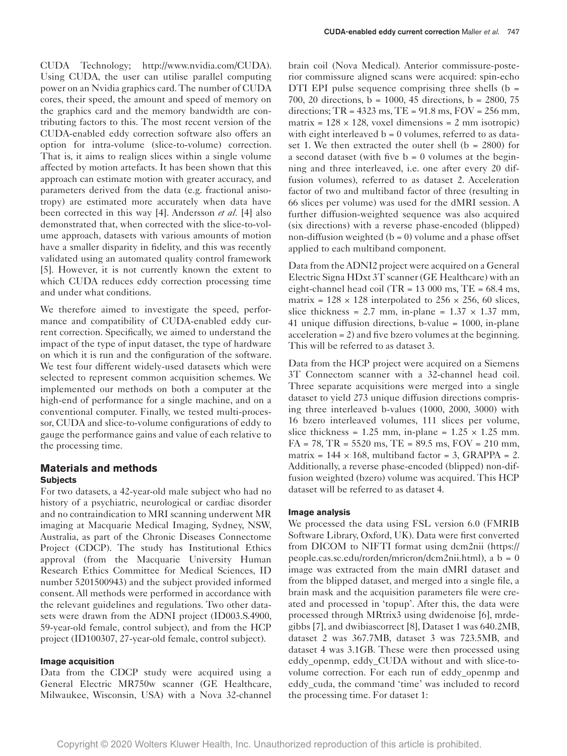CUDA Technology; [http://www.nvidia.com/CUDA\)](http://www.nvidia.com/CUDA). Using CUDA, the user can utilise parallel computing power on an Nvidia graphics card. The number of CUDA cores, their speed, the amount and speed of memory on the graphics card and the memory bandwidth are contributing factors to this. The most recent version of the CUDA-enabled eddy correction software also offers an option for intra-volume (slice-to-volume) correction. That is, it aims to realign slices within a single volume affected by motion artefacts. It has been shown that this approach can estimate motion with greater accuracy, and parameters derived from the data (e.g. fractional anisotropy) are estimated more accurately when data have been corrected in this way [\[4](#page-6-3)]. Andersson *et al.* [\[4](#page-6-3)] also demonstrated that, when corrected with the slice-to-volume approach, datasets with various amounts of motion have a smaller disparity in fidelity, and this was recently validated using an automated quality control framework [\[5](#page-7-0)]. However, it is not currently known the extent to which CUDA reduces eddy correction processing time and under what conditions.

We therefore aimed to investigate the speed, performance and compatibility of CUDA-enabled eddy current correction. Specifically, we aimed to understand the impact of the type of input dataset, the type of hardware on which it is run and the configuration of the software. We test four different widely-used datasets which were selected to represent common acquisition schemes. We implemented our methods on both a computer at the high-end of performance for a single machine, and on a conventional computer. Finally, we tested multi-processor, CUDA and slice-to-volume configurations of eddy to gauge the performance gains and value of each relative to the processing time.

# **Materials and methods Subjects**

For two datasets, a 42-year-old male subject who had no history of a psychiatric, neurological or cardiac disorder and no contraindication to MRI scanning underwent MR imaging at Macquarie Medical Imaging, Sydney, NSW, Australia, as part of the Chronic Diseases Connectome Project (CDCP). The study has Institutional Ethics approval (from the Macquarie University Human Research Ethics Committee for Medical Sciences, ID number 5201500943) and the subject provided informed consent. All methods were performed in accordance with the relevant guidelines and regulations. Two other datasets were drawn from the ADNI project (ID003.S.4900, 59-year-old female, control subject), and from the HCP project (ID100307, 27-year-old female, control subject).

## **Image acquisition**

Data from the CDCP study were acquired using a General Electric MR750w scanner (GE Healthcare, Milwaukee, Wisconsin, USA) with a Nova 32-channel

brain coil (Nova Medical). Anterior commissure-posterior commissure aligned scans were acquired: spin-echo DTI EPI pulse sequence comprising three shells  $(b =$ 700, 20 directions, b = 1000, 45 directions, b = 2800, 75 directions;  $TR = 4323$  ms,  $TE = 91.8$  ms,  $FOV = 256$  mm, matrix =  $128 \times 128$ , voxel dimensions = 2 mm isotropic) with eight interleaved  $b = 0$  volumes, referred to as dataset 1. We then extracted the outer shell  $(b = 2800)$  for a second dataset (with five  $b = 0$  volumes at the beginning and three interleaved, i.e. one after every 20 diffusion volumes), referred to as dataset 2. Acceleration factor of two and multiband factor of three (resulting in 66 slices per volume) was used for the dMRI session. A further diffusion-weighted sequence was also acquired (six directions) with a reverse phase-encoded (blipped) non-diffusion weighted  $(b = 0)$  volume and a phase offset applied to each multiband component.

Data from the ADNI2 project were acquired on a General Electric Signa HDxt 3T scanner (GE Healthcare) with an eight-channel head coil (TR =  $13\,000$  ms, TE =  $68.4$  ms, matrix =  $128 \times 128$  interpolated to  $256 \times 256$ , 60 slices, slice thickness = 2.7 mm, in-plane =  $1.37 \times 1.37$  mm, 41 unique diffusion directions, b-value = 1000, in-plane acceleration = 2) and five bzero volumes at the beginning. This will be referred to as dataset 3.

Data from the HCP project were acquired on a Siemens 3T Connectom scanner with a 32-channel head coil. Three separate acquisitions were merged into a single dataset to yield 273 unique diffusion directions comprising three interleaved b-values (1000, 2000, 3000) with 16 bzero interleaved volumes, 111 slices per volume, slice thickness =  $1.25$  mm, in-plane =  $1.25 \times 1.25$  mm.  $FA = 78$ ,  $TR = 5520$  ms,  $TE = 89.5$  ms,  $FOV = 210$  mm, matrix =  $144 \times 168$ , multiband factor = 3, GRAPPA = 2. Additionally, a reverse phase-encoded (blipped) non-diffusion weighted (bzero) volume was acquired. This HCP dataset will be referred to as dataset 4.

## **Image analysis**

We processed the data using FSL version 6.0 (FMRIB Software Library, Oxford, UK). Data were first converted from DICOM to NIFTI format using dcm2nii [\(https://](https://people.cas.sc.edu/rorden/mricron/dcm2nii.html) [people.cas.sc.edu/rorden/mricron/dcm2nii.html](https://people.cas.sc.edu/rorden/mricron/dcm2nii.html)),  $a b = 0$ image was extracted from the main dMRI dataset and from the blipped dataset, and merged into a single file, a brain mask and the acquisition parameters file were created and processed in 'topup'. After this, the data were processed through MRtrix3 using dwidenoise [\[6](#page-7-1)], mrdegibbs [\[7](#page-7-2)], and dwibiascorrect [\[8](#page-7-3)], Dataset 1 was 640.2MB, dataset 2 was 367.7MB, dataset 3 was 723.5MB, and dataset 4 was 3.1GB. These were then processed using eddy\_openmp, eddy\_CUDA without and with slice-tovolume correction. For each run of eddy\_openmp and eddy\_cuda, the command 'time' was included to record the processing time. For dataset 1: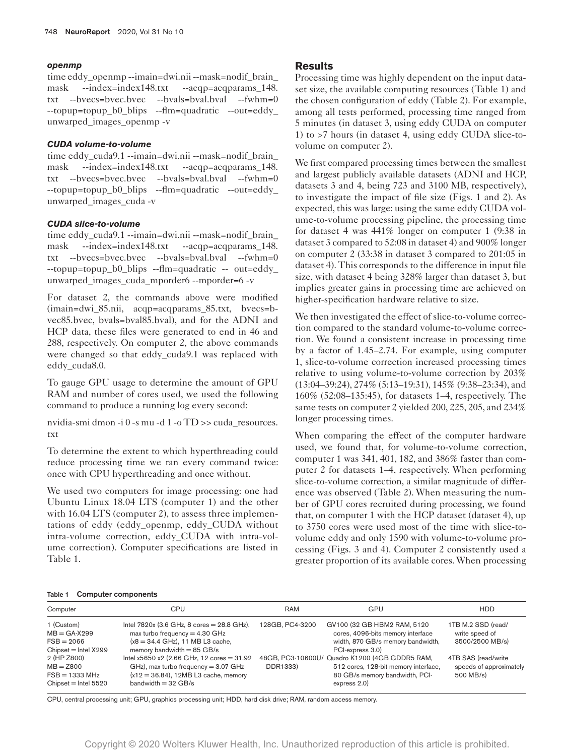### **openmp**

time eddy\_openmp --imain=dwi.nii --mask=nodif\_brain\_ mask --index=index148.txt --acqp=acqparams 148. txt --bvecs=bvec.bvec --bvals=bval.bval --fwhm=0 --topup=topup\_b0\_blips --flm=quadratic --out=eddy\_ unwarped\_images\_openmp -v

# **CUDA volume-to-volume**

time eddy\_cuda9.1 --imain=dwi.nii --mask=nodif\_brain\_ mask --index=index148.txt --acqp=acqparams\_148. txt --bvecs=bvec.bvec --bvals=bval.bval --fwhm=0 --topup=topup\_b0\_blips --flm=quadratic --out=eddy\_ unwarped\_images\_cuda -v

## **CUDA slice-to-volume**

time eddy\_cuda9.1 --imain=dwi.nii --mask=nodif\_brain\_ mask --index=index148.txt --acqp=acqparams 148. txt --bvecs=bvec.bvec --bvals=bval.bval --fwhm=0 --topup=topup b0 blips --flm=quadratic -- out=eddy unwarped\_images\_cuda\_mporder6 --mporder=6 -v

For dataset 2, the commands above were modified (imain=dwi\_85.nii, acqp=acqparams\_85.txt, bvecs=bvec85.bvec, bvals=bval85.bval), and for the ADNI and HCP data, these files were generated to end in 46 and 288, respectively. On computer 2, the above commands were changed so that eddy cuda9.1 was replaced with eddy\_cuda8.0.

To gauge GPU usage to determine the amount of GPU RAM and number of cores used, we used the following command to produce a running log every second:

nvidia-smi dmon -i 0 -s mu -d 1 -o TD >> cuda\_resources. txt

To determine the extent to which hyperthreading could reduce processing time we ran every command twice: once with CPU hyperthreading and once without.

We used two computers for image processing: one had Ubuntu Linux 18.04 LTS (computer 1) and the other with 16.04 LTS (computer 2), to assess three implementations of eddy (eddy\_openmp, eddy\_CUDA without intra-volume correction, eddy\_CUDA with intra-volume correction). Computer specifications are listed in [Table 1](#page-2-0).

## **Results**

Processing time was highly dependent on the input dataset size, the available computing resources ([Table 1](#page-2-0)) and the chosen configuration of eddy ([Table 2](#page-3-0)). For example, among all tests performed, processing time ranged from 5 minutes (in dataset 3, using eddy CUDA on computer 1) to >7 hours (in dataset 4, using eddy CUDA slice-tovolume on computer 2).

We first compared processing times between the smallest and largest publicly available datasets (ADNI and HCP, datasets 3 and 4, being 723 and 3100 MB, respectively), to investigate the impact of file size ([Figs. 1](#page-4-0) and [2\)](#page-4-1). As expected, this was large: using the same eddy CUDA volume-to-volume processing pipeline, the processing time for dataset 4 was 441% longer on computer 1 (9:38 in dataset 3 compared to 52:08 in dataset 4) and 900% longer on computer 2 (33:38 in dataset 3 compared to 201:05 in dataset 4). This corresponds to the difference in input file size, with dataset 4 being 328% larger than dataset 3, but implies greater gains in processing time are achieved on higher-specification hardware relative to size.

We then investigated the effect of slice-to-volume correction compared to the standard volume-to-volume correction. We found a consistent increase in processing time by a factor of 1.45–2.74. For example, using computer 1, slice-to-volume correction increased processing times relative to using volume-to-volume correction by 203% (13:04–39:24), 274% (5:13–19:31), 145% (9:38–23:34), and 160% (52:08–135:45), for datasets 1–4, respectively. The same tests on computer 2 yielded 200, 225, 205, and 234% longer processing times.

When comparing the effect of the computer hardware used, we found that, for volume-to-volume correction, computer 1 was 341, 401, 182, and 386% faster than computer 2 for datasets 1–4, respectively. When performing slice-to-volume correction, a similar magnitude of difference was observed ([Table 2\)](#page-3-0). When measuring the number of GPU cores recruited during processing, we found that, on computer 1 with the HCP dataset (dataset 4), up to 3750 cores were used most of the time with slice-tovolume eddy and only 1590 with volume-to-volume processing ([Figs. 3](#page-5-0) and [4](#page-5-1)). Computer 2 consistently used a greater proportion of its available cores. When processing

#### <span id="page-2-0"></span>Table 1 Computer components

| Computer               | CPU                                            | RAM             | GPU                                            | <b>HDD</b>              |
|------------------------|------------------------------------------------|-----------------|------------------------------------------------|-------------------------|
| 1 (Custom)             | Intel $7820x$ (3.6 GHz, 8 cores = $28.8$ GHz), | 128GB, PC4-3200 | GV100 (32 GB HBM2 RAM, 5120                    | 1TB M.2 SSD (read/      |
| $MB = GA-X299$         | max turbo frequency $=$ 4.30 GHz               |                 | cores, 4096-bits memory interface              | write speed of          |
| $FSB = 2066$           | $(x8 = 34.4 \text{ GHz})$ , 11 MB L3 cache,    |                 | width, 870 GB/s memory bandwidth,              | 3500/2500 MB/s)         |
| $Chipset = Intel X299$ | memory bandwidth = $85$ GB/s                   |                 | PCI-express 3.0)                               |                         |
| 2 (HP Z800)            | Intel x5650 x2 (2.66 GHz, 12 cores = $31.92$   |                 | 48GB, PC3-10600U/ Quadro K1200 (4GB GDDR5 RAM, | 4TB SAS (read/write     |
| $MB = Z800$            | $GHz$ ), max turbo frequency = 3.07 $GHz$      | DDR1333)        | 512 cores, 128-bit memory interface,           | speeds of approximately |
| $FSB = 1333 MHz$       | $(x12 = 36.84)$ , 12MB L3 cache, memory        |                 | 80 GB/s memory bandwidth, PCI-                 | 500 MB/s)               |
| $Chipset = Intel 5520$ | bandwidth $=$ 32 GB/s                          |                 | express 2.0)                                   |                         |

CPU, central processing unit; GPU, graphics processing unit; HDD, hard disk drive; RAM, random access memory.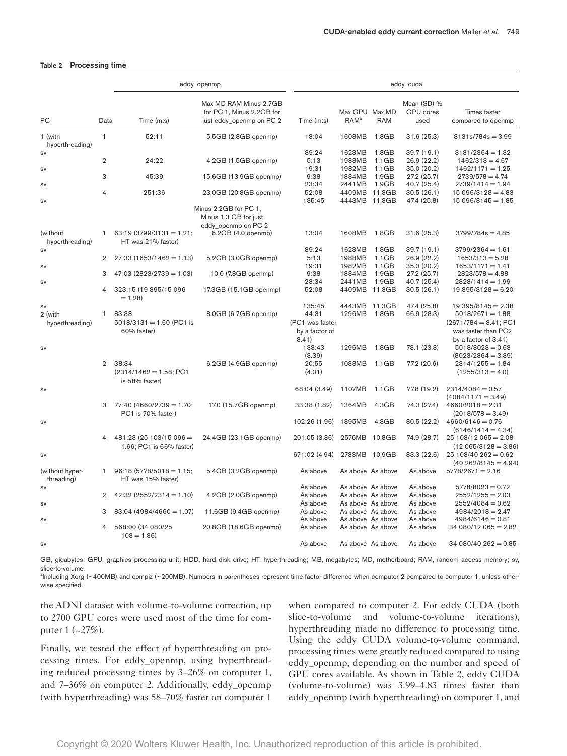#### <span id="page-3-0"></span>Table 2 Processing time

|                                          |                | eddy_openmp                                         |                                                                                             | eddy_cuda                                                     |                                    |                                        |                                         |                                                                                                                        |
|------------------------------------------|----------------|-----------------------------------------------------|---------------------------------------------------------------------------------------------|---------------------------------------------------------------|------------------------------------|----------------------------------------|-----------------------------------------|------------------------------------------------------------------------------------------------------------------------|
| <b>PC</b>                                | Data           | Time (m:s)                                          | Max MD RAM Minus 2.7GB<br>for PC 1, Minus 2.2GB for<br>just eddy_openmp on PC 2             | Time (m:s)                                                    | Max GPU Max MD<br>RAM <sup>a</sup> | <b>RAM</b>                             | Mean (SD) %<br><b>GPU</b> cores<br>used | Times faster<br>compared to openmp                                                                                     |
|                                          | $\mathbf{1}$   |                                                     |                                                                                             |                                                               |                                    |                                        |                                         |                                                                                                                        |
| 1 (with<br>hyperthreading)               |                | 52:11                                               | 5.5GB (2.8GB openmp)                                                                        | 13:04                                                         | 1608MB                             | 1.8GB                                  | 31.6 (25.3)                             | $3131s/784s = 3.99$                                                                                                    |
| <b>SV</b>                                |                |                                                     |                                                                                             | 39:24                                                         | 1623MB                             | 1.8GB                                  | 39.7 (19.1)                             | $3131/2364 = 1.32$                                                                                                     |
|                                          | $\overline{2}$ | 24:22                                               | 4.2GB (1.5GB openmp)                                                                        | 5:13                                                          | 1988MB                             | 1.1GB                                  | 26.9 (22.2)                             | $1462/313 = 4.67$                                                                                                      |
| <b>SV</b>                                |                |                                                     |                                                                                             | 19:31                                                         | 1982MB                             | 1.1GB                                  | 35.0 (20.2)                             | $1462/1171 = 1.25$                                                                                                     |
|                                          | 3              | 45:39                                               | 15.6GB (13.9GB openmp)                                                                      | 9:38                                                          | 1884MB                             | 1.9GB                                  | 27.2 (25.7)                             | $2739/578 = 4.74$                                                                                                      |
| <b>SV</b>                                |                |                                                     |                                                                                             | 23:34                                                         | 2441MB                             | 1.9GB                                  | 40.7 (25.4)                             | $2739/1414 = 1.94$                                                                                                     |
| <b>SV</b>                                | $\overline{4}$ | 251:36                                              | 23.0GB (20.3GB openmp)                                                                      | 52:08<br>135:45                                               | 4409MB 11.3GB<br>4443MB 11.3GB     |                                        | 30.5(26.1)<br>47.4 (25.8)               | $15096/3128 = 4.83$<br>$15096/8145 = 1.85$                                                                             |
| (without                                 | 1              | $63:19(3799/3131=1.21;$                             | Minus 2.2GB for PC 1,<br>Minus 1.3 GB for just<br>eddy_openmp on PC 2<br>6.2GB (4.0 openmp) | 13:04                                                         | 1608MB                             | 1.8GB                                  | 31.6(25.3)                              | $3799/784s = 4.85$                                                                                                     |
| hyperthreading)                          |                | HT was 21% faster)                                  |                                                                                             |                                                               |                                    |                                        |                                         |                                                                                                                        |
| SV                                       |                |                                                     |                                                                                             | 39:24                                                         | 1623MB                             | 1.8GB                                  | 39.7 (19.1)                             | $3799/2364 = 1.61$                                                                                                     |
|                                          | $\overline{2}$ | $27:33(1653/1462=1.13)$                             | 5.2GB (3.0GB openmp)                                                                        | 5:13                                                          | 1988MB                             | 1.1GB                                  | 26.9 (22.2)                             | $1653/313 = 5.28$                                                                                                      |
| <b>SV</b>                                |                |                                                     |                                                                                             | 19:31                                                         | 1982MB                             | 1.1GB                                  | 35.0 (20.2)                             | $1653/1171 = 1.41$                                                                                                     |
|                                          | 3              | $47:03(2823/2739=1.03)$                             | 10.0 (7.8GB openmp)                                                                         | 9:38                                                          | 1884MB                             | 1.9GB<br>1.9GB                         | 27.2 (25.7)                             | $2823/578 = 4.88$                                                                                                      |
| <b>SV</b>                                | 4              | 323:15 (19 395/15 096<br>$= 1.28$                   | 17.3GB (15.1GB openmp)                                                                      | 23:34<br>52:08                                                | 2441MB<br>4409MB 11.3GB            |                                        | 40.7 (25.4)<br>30.5(26.1)               | $2823/1414 = 1.99$<br>$19395/3128 = 6.20$                                                                              |
| ${\sf SV}$<br>2 (with<br>hyperthreading) | $\mathbf{1}$   | 83:38<br>$5018/3131 = 1.60$ (PC1 is<br>60% faster)  | 8.0GB (6.7GB openmp)                                                                        | 135:45<br>44:31<br>(PC1 was faster<br>by a factor of<br>3.41) | 4443MB 11.3GB<br>1296MB            | 1.8GB                                  | 47.4 (25.8)<br>66.9 (28.3)              | $19395/8145 = 2.38$<br>$5018/2671 = 1.88$<br>$(2671/784 = 3.41; PC1$<br>was faster than PC2<br>by a factor of $3.41$ ) |
| <b>SV</b>                                |                |                                                     |                                                                                             | 133:43                                                        | 1296MB                             | 1.8GB                                  | 73.1 (23.8)                             | $5018/8023 = 0.63$                                                                                                     |
|                                          |                |                                                     |                                                                                             | (3.39)                                                        |                                    |                                        |                                         | $(8023/2364 = 3.39)$                                                                                                   |
|                                          | $\overline{2}$ | 38:34<br>$(2314/1462 = 1.58; PC1$<br>is 58% faster) | 6.2GB (4.9GB openmp)                                                                        | 20:55<br>(4.01)                                               | 1038MB                             | 1.1GB                                  | 77.2 (20.6)                             | $2314/1255 = 1.84$<br>$(1255/313 = 4.0)$                                                                               |
| <b>SV</b>                                |                |                                                     |                                                                                             | 68:04 (3.49)                                                  | 1107MB                             | 1.1GB                                  | 77.8 (19.2)                             | $2314/4084 = 0.57$<br>$(4084/1171 = 3.49)$                                                                             |
|                                          | 3              | $77:40(4660/2739=1.70;$<br>PC1 is 70% faster)       | 17.0 (15.7GB openmp)                                                                        | 33:38 (1.82)                                                  | 1364MB                             | 4.3GB                                  | 74.3 (27.4)                             | $4660/2018 = 2.31$<br>$(2018/578=3.49)$                                                                                |
| <b>SV</b>                                |                |                                                     |                                                                                             | 102:26 (1.96)                                                 | 1895MB                             | 4.3GB                                  | 80.5 (22.2)                             | $4660/6146 = 0.76$<br>$(6146/1414 = 4.34)$                                                                             |
|                                          | 4              | 481:23(25103/15096)<br>1.66; PC1 is 66% faster)     | 24.4GB (23.1GB openmp)                                                                      | 201:05 (3.86)                                                 | 2576MB                             | 10.8GB                                 | 74.9 (28.7)                             | $25103/12065 = 2.08$<br>$(12065/3128=3.86)$                                                                            |
| <b>SV</b>                                |                |                                                     |                                                                                             | 671:02 (4.94)                                                 | 2733MB 10.9GB                      |                                        | 83.3 (22.6)                             | $25103/40262 = 0.62$<br>$(40 262/8145 = 4.94)$                                                                         |
| (without hyper-<br>threading)            | 1              | $96:18(5778/5018=1.15;$<br>HT was 15% faster)       | 5.4GB (3.2GB openmp)                                                                        | As above                                                      | As above As above                  |                                        | As above                                | $5778/2671 = 2.16$                                                                                                     |
| <b>SV</b>                                |                |                                                     |                                                                                             | As above                                                      |                                    | As above As above                      | As above                                | $5778/8023 = 0.72$                                                                                                     |
|                                          | $\overline{2}$ | $42:32(2552/2314=1.10)$                             | 4.2GB (2.0GB openmp)                                                                        | As above<br>As above                                          |                                    | As above As above<br>As above As above | As above<br>As above                    | $2552/1255 = 2.03$<br>$2552/4084 = 0.62$                                                                               |
| <b>SV</b>                                | 3              | $83:04(4984/4660=1.07)$                             | 11.6GB (9.4GB openmp)                                                                       | As above                                                      |                                    | As above As above                      | As above                                | $4984/2018 = 2.47$                                                                                                     |
| SV                                       |                |                                                     |                                                                                             | As above                                                      |                                    | As above As above                      | As above                                | $4984/6146 = 0.81$                                                                                                     |
|                                          | 4              | 568:00 (34 080/25<br>$103 = 1.36$                   | 20.8GB (18.6GB openmp)                                                                      | As above                                                      |                                    | As above As above                      | As above                                | $34080/12065 = 2.82$                                                                                                   |
| SV                                       |                |                                                     |                                                                                             | As above                                                      |                                    | As above As above                      | As above                                | $34080/40262 = 0.85$                                                                                                   |

GB, gigabytes; GPU, graphics processing unit; HDD, hard disk drive; HT, hyperthreading; MB, megabytes; MD, motherboard; RAM, random access memory; sv, slice-to-volume.

<span id="page-3-1"></span><sup>a</sup>lncluding Xorg (~400MB) and compiz (~200MB). Numbers in parentheses represent time factor difference when computer 2 compared to computer 1, unless otherwise specified.

the ADNI dataset with volume-to-volume correction, up to 2700 GPU cores were used most of the time for computer 1 (~27%).

Finally, we tested the effect of hyperthreading on processing times. For eddy\_openmp, using hyperthreading reduced processing times by 3–26% on computer 1, and 7–36% on computer 2. Additionally, eddy\_openmp (with hyperthreading) was 58–70% faster on computer 1

when compared to computer 2. For eddy CUDA (both slice-to-volume and volume-to-volume iterations), hyperthreading made no difference to processing time. Using the eddy CUDA volume-to-volume command, processing times were greatly reduced compared to using eddy\_openmp, depending on the number and speed of GPU cores available. As shown in [Table 2](#page-3-0), eddy CUDA (volume-to-volume) was 3.99–4.83 times faster than eddy\_openmp (with hyperthreading) on computer 1, and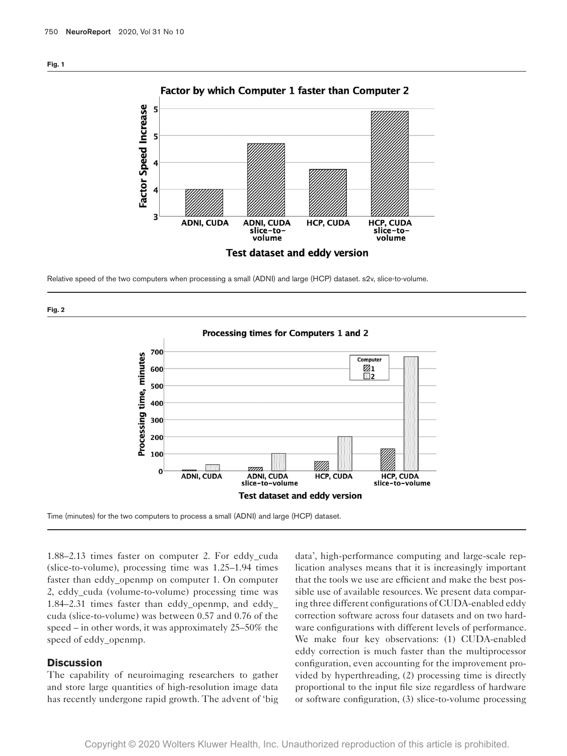<span id="page-4-0"></span>

Relative speed of the two computers when processing a small (ADNI) and large (HCP) dataset. s2v, slice-to-volume.

<span id="page-4-1"></span>

Processing times for Computers 1 and 2 700 Processing time, minutes Computer  $\frac{\boxtimes 1}{\boxtimes 2}$ 600 500 400 300 200 100 .<br>Milio 7777 D  $\bf{0}$ **ADNI, CUDA ADNI, CUDA HCP, CUDA** HCP, CUDA slice-to-volume slice-to-volume **Test dataset and eddy version** 

Time (minutes) for the two computers to process a small (ADNI) and large (HCP) dataset.

1.88–2.13 times faster on computer 2. For eddy\_cuda (slice-to-volume), processing time was 1.25–1.94 times faster than eddy\_openmp on computer 1. On computer 2, eddy\_cuda (volume-to-volume) processing time was 1.84–2.31 times faster than eddy\_openmp, and eddy\_ cuda (slice-to-volume) was between 0.57 and 0.76 of the speed – in other words, it was approximately 25–50% the speed of eddy\_openmp.

#### **Discussion**

The capability of neuroimaging researchers to gather and store large quantities of high-resolution image data has recently undergone rapid growth. The advent of 'big data', high-performance computing and large-scale replication analyses means that it is increasingly important that the tools we use are efficient and make the best possible use of available resources. We present data comparing three different configurations of CUDA-enabled eddy correction software across four datasets and on two hardware configurations with different levels of performance. We make four key observations: (1) CUDA-enabled eddy correction is much faster than the multiprocessor configuration, even accounting for the improvement provided by hyperthreading, (2) processing time is directly proportional to the input file size regardless of hardware or software configuration, (3) slice-to-volume processing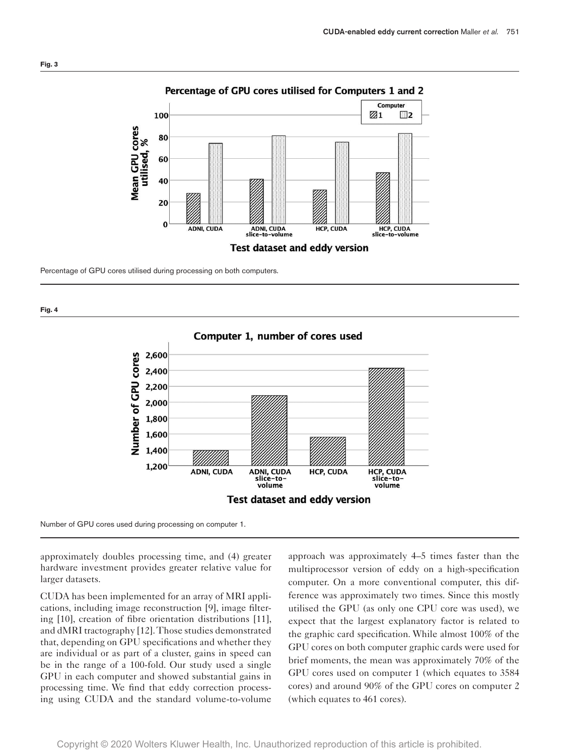<span id="page-5-0"></span>

# Percentage of GPU cores utilised for Computers 1 and 2

Percentage of GPU cores utilised during processing on both computers.

<span id="page-5-1"></span>



Number of GPU cores used during processing on computer 1.

approximately doubles processing time, and (4) greater hardware investment provides greater relative value for larger datasets.

CUDA has been implemented for an array of MRI applications, including image reconstruction [[9\]](#page-7-4), image filtering [\[10](#page-7-5)], creation of fibre orientation distributions [[11\]](#page-7-6), and dMRI tractography [\[12](#page-7-7)]. Those studies demonstrated that, depending on GPU specifications and whether they are individual or as part of a cluster, gains in speed can be in the range of a 100-fold. Our study used a single GPU in each computer and showed substantial gains in processing time. We find that eddy correction processing using CUDA and the standard volume-to-volume

approach was approximately 4–5 times faster than the multiprocessor version of eddy on a high-specification computer. On a more conventional computer, this difference was approximately two times. Since this mostly utilised the GPU (as only one CPU core was used), we expect that the largest explanatory factor is related to the graphic card specification. While almost 100% of the GPU cores on both computer graphic cards were used for brief moments, the mean was approximately 70% of the GPU cores used on computer 1 (which equates to 3584 cores) and around 90% of the GPU cores on computer 2 (which equates to 461 cores).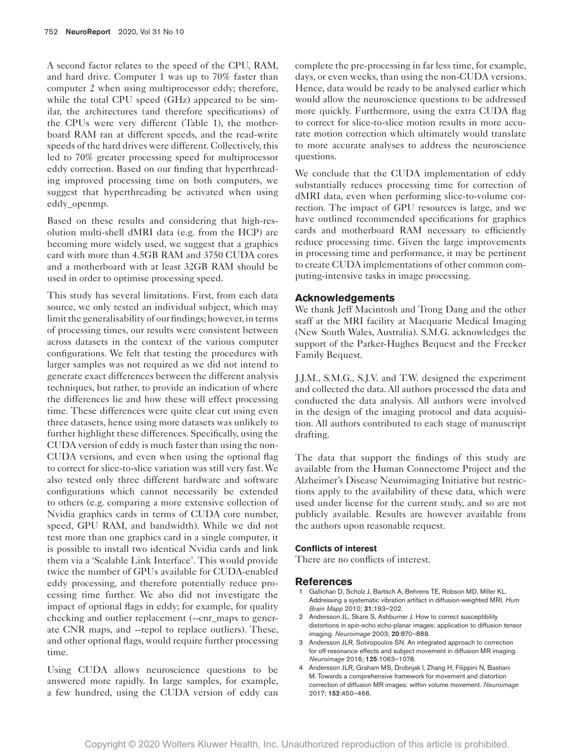A second factor relates to the speed of the CPU, RAM, and hard drive. Computer 1 was up to 70% faster than computer 2 when using multiprocessor eddy; therefore, while the total CPU speed (GHz) appeared to be similar, the architectures (and therefore specifications) of the CPUs were very different [\(Table 1\)](#page-2-0), the motherboard RAM ran at different speeds, and the read-write speeds of the hard drives were different. Collectively, this led to 70% greater processing speed for multiprocessor eddy correction. Based on our finding that hyperthreading improved processing time on both computers, we suggest that hyperthreading be activated when using eddy\_openmp.

Based on these results and considering that high-resolution multi-shell dMRI data (e.g. from the HCP) are becoming more widely used, we suggest that a graphics card with more than 4.5GB RAM and 3750 CUDA cores and a motherboard with at least 32GB RAM should be used in order to optimise processing speed.

This study has several limitations. First, from each data source, we only tested an individual subject, which may limit the generalisability of our findings; however, in terms of processing times, our results were consistent between across datasets in the context of the various computer configurations. We felt that testing the procedures with larger samples was not required as we did not intend to generate exact differences between the different analysis techniques, but rather, to provide an indication of where the differences lie and how these will effect processing time. These differences were quite clear cut using even three datasets, hence using more datasets was unlikely to further highlight these differences. Specifically, using the CUDA version of eddy is much faster than using the non-CUDA versions, and even when using the optional flag to correct for slice-to-slice variation was still very fast. We also tested only three different hardware and software configurations which cannot necessarily be extended to others (e.g. comparing a more extensive collection of Nvidia graphics cards in terms of CUDA core number, speed, GPU RAM, and bandwidth). While we did not test more than one graphics card in a single computer, it is possible to install two identical Nvidia cards and link them via a 'Scalable Link Interface'. This would provide twice the number of GPUs available for CUDA-enabled eddy processing, and therefore potentially reduce processing time further. We also did not investigate the impact of optional flags in eddy; for example, for quality checking and outlier replacement (--cnr\_maps to generate CNR maps, and --repol to replace outliers). These, and other optional flags, would require further processing time.

Using CUDA allows neuroscience questions to be answered more rapidly. In large samples, for example, a few hundred, using the CUDA version of eddy can complete the pre-processing in far less time, for example, days, or even weeks, than using the non-CUDA versions. Hence, data would be ready to be analysed earlier which would allow the neuroscience questions to be addressed more quickly. Furthermore, using the extra CUDA flag to correct for slice-to-slice motion results in more accurate motion correction which ultimately would translate to more accurate analyses to address the neuroscience questions.

We conclude that the CUDA implementation of eddy substantially reduces processing time for correction of dMRI data, even when performing slice-to-volume correction. The impact of GPU resources is large, and we have outlined recommended specifications for graphics cards and motherboard RAM necessary to efficiently reduce processing time. Given the large improvements in processing time and performance, it may be pertinent to create CUDA implementations of other common computing-intensive tasks in image processing.

## **Acknowledgements**

We thank Jeff Macintosh and Trong Dang and the other staff at the MRI facility at Macquarie Medical Imaging (New South Wales, Australia). S.M.G. acknowledges the support of the Parker-Hughes Bequest and the Frecker Family Bequest.

J.J.M., S.M.G., S.J.V. and T.W. designed the experiment and collected the data. All authors processed the data and conducted the data analysis. All authors were involved in the design of the imaging protocol and data acquisition. All authors contributed to each stage of manuscript drafting.

The data that support the findings of this study are available from the Human Connectome Project and the Alzheimer's Disease Neuroimaging Initiative but restrictions apply to the availability of these data, which were used under license for the current study, and so are not publicly available. Results are however available from the authors upon reasonable request.

#### **Conflicts of interest**

There are no conflicts of interest.

#### **References**

- <span id="page-6-0"></span>1 Gallichan D, Scholz J, Bartsch A, Behrens TE, Robson MD, Miller KL. Addressing a systematic vibration artifact in diffusion-weighted MRI. *Hum Brain Mapp* 2010; 31:193–202.
- <span id="page-6-1"></span>2 Andersson JL, Skare S, Ashburner J. How to correct susceptibility distortions in spin-echo echo-planar images: application to diffusion tensor imaging. *Neuroimage* 2003; 20:870–888.
- <span id="page-6-2"></span>3 Andersson JLR, Sotiropoulos SN. An integrated approach to correction for off-resonance effects and subject movement in diffusion MR imaging. *Neuroimage* 2016; 125:1063–1078.
- <span id="page-6-3"></span>4 Andersson JLR, Graham MS, Drobnjak I, Zhang H, Filippini N, Bastiani M. Towards a comprehensive framework for movement and distortion correction of diffusion MR images: within volume movement. *Neuroimage* 2017; 152:450–466.